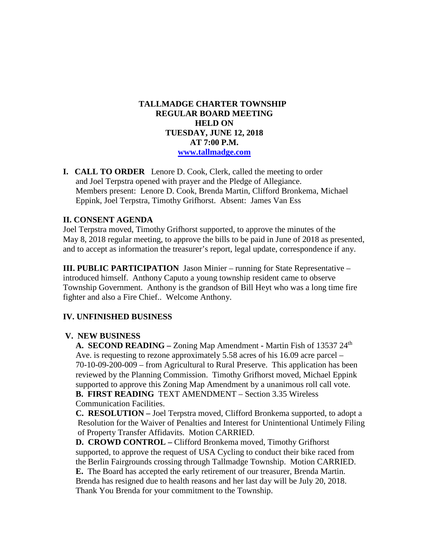## **TALLMADGE CHARTER TOWNSHIP REGULAR BOARD MEETING HELD ON TUESDAY, JUNE 12, 2018 AT 7:00 P.M. [www.tallmadge.com](http://www.tallmadge.com/)**

**I. CALL TO ORDER** Lenore D. Cook, Clerk, called the meeting to order and Joel Terpstra opened with prayer and the Pledge of Allegiance. Members present: Lenore D. Cook, Brenda Martin, Clifford Bronkema, Michael Eppink, Joel Terpstra, Timothy Grifhorst. Absent: James Van Ess

## **II. CONSENT AGENDA**

Joel Terpstra moved, Timothy Grifhorst supported, to approve the minutes of the May 8, 2018 regular meeting, to approve the bills to be paid in June of 2018 as presented, and to accept as information the treasurer's report, legal update, correspondence if any.

**III. PUBLIC PARTICIPATION** Jason Minier – running for State Representative – introduced himself. Anthony Caputo a young township resident came to observe Township Government. Anthony is the grandson of Bill Heyt who was a long time fire fighter and also a Fire Chief.. Welcome Anthony.

#### **IV. UNFINISHED BUSINESS**

#### **V. NEW BUSINESS**

 **A. SECOND READING –** Zoning Map Amendment **-** Martin Fish of 13537 24th Ave. is requesting to rezone approximately 5.58 acres of his 16.09 acre parcel – 70-10-09-200-009 – from Agricultural to Rural Preserve. This application has been reviewed by the Planning Commission. Timothy Grifhorst moved, Michael Eppink supported to approve this Zoning Map Amendment by a unanimous roll call vote. **B. FIRST READING** TEXT AMENDMENT – Section 3.35 Wireless Communication Facilities.

 **C. RESOLUTION –** Joel Terpstra moved, Clifford Bronkema supported, to adopt a Resolution for the Waiver of Penalties and Interest for Unintentional Untimely Filing of Property Transfer Affidavits. Motion CARRIED.

 **D. CROWD CONTROL –** Clifford Bronkema moved, Timothy Grifhorst supported, to approve the request of USA Cycling to conduct their bike raced from the Berlin Fairgrounds crossing through Tallmadge Township. Motion CARRIED. **E.** The Board has accepted the early retirement of our treasurer, Brenda Martin. Brenda has resigned due to health reasons and her last day will be July 20, 2018. Thank You Brenda for your commitment to the Township.